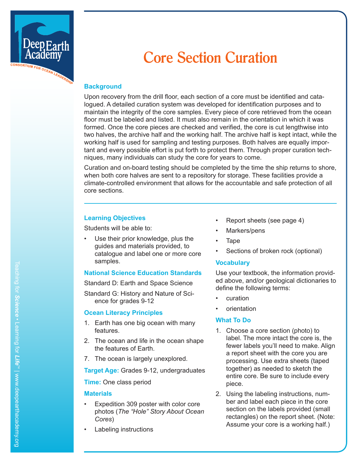

# **Core Section Curation**

#### **Background**

Upon recovery from the drill floor, each section of a core must be identified and cata logued. A detailed curation system was developed for identification purposes and to maintain the integrity of the core samples. Every piece of core retrieved from the ocean floor must be labeled and listed. It must also remain in the orientation in which it was formed. Once the core pieces are checked and verified, the core is cut lengthwise into two halves, the archive half and the working half. The archive half is kept intact, while the working half is used for sampling and testing purposes. Both halves are equally impor tant and every possible effort is put forth to protect them. Through proper curation tech niques, many individuals can study the core for years to come.

Curation and on-board testing should be completed by the time the ship returns to shore, when both core halves are sent to a repository for storage. These facilities provide a climate-controlled environment that allows for the accountable and safe protection of all core sections.

#### **Learning Objectives**

Students will be able to:

Use their prior knowledge, plus the guides and materials provided, to catalogue and label one or more core samples.

#### **National Science Education Standards**

Standard D: Earth and Space Science

Standard G: History and Nature of Sci ence for grades 9-12

#### **Ocean Literacy Principles**

- 1. Earth has one big ocean with many features.
- 2. The ocean and life in the ocean shape the features of Earth.
- 7. The ocean is largely unexplored.

**Target Age:** Grades 9-12, undergraduates

**Time:** One class period

#### **Materials**

- Expedition 309 poster with color core photos (*The "Hole" Story About Ocean Cores* )
- Labeling instructions
- Report sheets (see page 4)
- Markers/pens
- Tape
- Sections of broken rock (optional)

#### **Vocabulary**

Use your textbook, the information provid ed above, and/or geological dictionaries to define the following terms:

- curation
- orientation

#### **What To Do**

- 1. Choose a core section (photo) to label. The more intact the core is, the fewer labels you'll need to make. Align a report sheet with the core you are processing. Use extra sheets (taped together) as needed to sketch the entire core. Be sure to include every piece.
- 2. Using the labeling instructions, num ber and label each piece in the core section on the labels provided (small rectangles) on the report sheet. (Note: Assume your core is a working half.)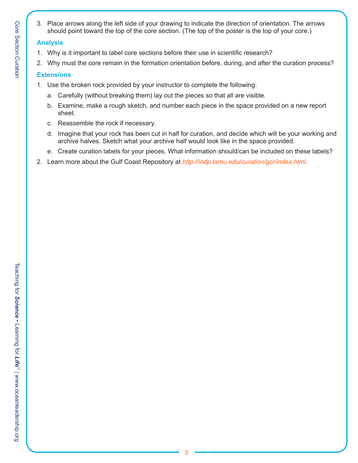3. Place arrows along the left side of your drawing to indicate the direction of orientation. The arrows should point toward the top of the core section. (The top of the poster is the top of your core.)

#### **Analysis**

- 1. Why is it important to label core sections before their use in scientific research?
- 2. Why must the core remain in the formation orientation before, during, and after the curation process?

### **Extensions**

- 1. Use the broken rock provided by your instructor to complete the following:
	- a. Carefully (without breaking them) lay out the pieces so that all are visible.
	- b. Examine, make a rough sketch, and number each piece in the space provided on a new report sheet.
	- c. Reassemble the rock if necessary.
	- d. Imagine that your rock has been cut in half for curation, and decide which will be your working and archive halves. Sketch what your archive half would look like in the space provided.
	- e. Create curation labels for your pieces. What information should/can be included on these labels?
- 2. Learn more about the Gulf Coast Repository at *http://iodp.tamu.edu/curation/gcr/index.html*.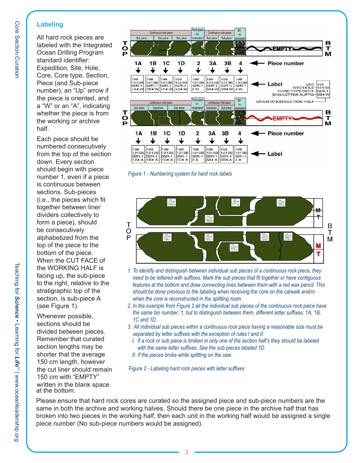## **Labeling**

All hard rock pieces are labeled with the Integrated Ocean Drilling Program standard identifier: Expedition, Site, Hole, Core, Core type, Section, Piece (and Sub-piece number), an "Up" arrow if the piece is oriented, and a "W" or an "A", indicating whether the piece is from the working or archive half.

Each piece should be numbered consecutively from the top of the section down. Every section should begin with piece number 1, even if a piece is continuous between sections. Sub-pieces (i.e., the pieces which fit together between liner dividers collectively to form a piece), should be consecutively alphabetized from the top of the piece to the bottom of the piece. When the CUT FACE of the WORKING HALF is facing up, the sub-piece to the right, relative to the stratigraphic top of the section, is sub-piece A (see Figure 1).

Whenever possible, sections should be divided between pieces. Remember that curated section lengths may be shorter that the average 150 cm length, however the cut liner should remain 150 cm with "EMPTY" written in the blank space at the bottom.



*Figure 1 - Numbering system for hard rock labels*



- when the core is reconstructed in the splitting room. 1. To identify and distinguish between individual sub pieces of a continuous rock piece, they *need to be lettered with suffixes. Mark the sub pieces that fit together or have contiguous features at the bottom and draw connecting lines between them with a red wax pencil. This should be done previous to the labeling when receiving the core on the catwalk and/or*
- *2. In the example from Figure 2 all the individual sub pieces of the continuous rock piece have the same bin number: 1, but to distinguish between them, different letter suffixes: 1A, 1B, 1C and 1D.*
- *3. All individual sub pieces within a continuous rock piece having a reasonable size must be separated by letter suffixes with the exception of rules I and II:*
	- *I. If a rock or sub piece is broken in only one of the section half's they should be labeled with the same letter suffixes. See the sub pieces labeled 1D.*
	- *II. If the pieces broke while splitting on the saw.*

*Figure 2 - Labeling hard rock pieces with letter suffixes*

Please ensure that hard rock cores are curated so the assigned piece and sub-piece numbers are the same in both the archive and working halves. Should there be one piece in the archive half that has broken into two pieces in the working half, then each unit in the working half would be assigned a single piece number (No sub-piece numbers would be assigned).